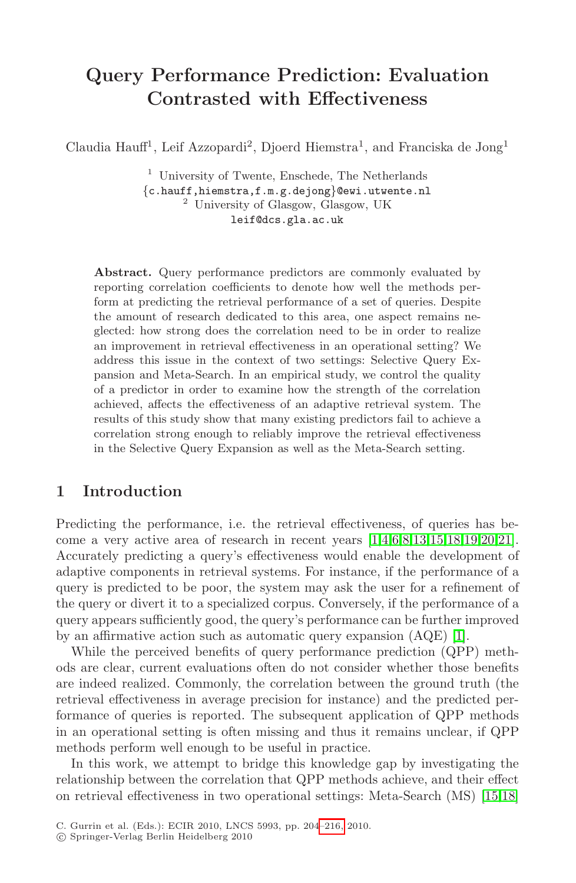# **Query Performance Prediction: Evaluation Contrasted with Effectiveness**

Claudia Hauff<sup>1</sup>, Leif Azzopardi<sup>2</sup>, Djoerd Hiemstra<sup>1</sup>, and Franciska de Jong<sup>1</sup>

<sup>1</sup> University of Twente, Enschede, The Netherlands *{*c.hauff,hiemstra,f.m.g.dejong*}*@ewi.utwente.nl <sup>2</sup> University of Glasgow, Glasgow, UK leif@dcs.gla.ac.uk

**Abstract.** Query performance predictors are commonly evaluated by reporting correlation coefficients to denote how well the methods perform at predicting the retrieval performance of a set of queries. Despite the amount of research dedicated to this area, one aspect remains neglected: how strong does the correlation need to be in order to realize an improvement in retrieval effectiveness in an operational setting? We address this issue in the context of two settings: Selective Query Expansion and Meta-Search. In an empirical study, we control the quality of a predictor in order to examine how the strength of the correlation achieved, affects the effectiveness of an adaptive retrieval system. The results of this study show that [m](#page-11-0)[a](#page-11-1)[ny](#page-11-2) [e](#page-11-3)[xist](#page-12-0)[ing](#page-12-1) [pr](#page-12-2)[edi](#page-12-3)[cto](#page-12-4)[rs fa](#page-12-5)il to achieve a correlation strong enough to reliably improve the retrieval effectiveness in the Selective Query Expansion as well as the Meta-Search setting.

# **1 Introduction**

Predicting the performance, i.e. the retrieval effectiveness, of queries has become a very active area of research in recent years [1,4,6,8,13,15,18,19,20,21]. Accurately predicting a query's effectiveness would enable the development of adaptive components in retrieval systems. For instance, if the performance of a query is predicted to be poor, the system may ask the user for a refinement of the query or divert it to a specialized corpus. Conversely, if the performance of a query appears sufficiently good, the query's performance can be further improved by an affirmative action such as automatic query expansion (AQE) [1].

While the perceived benefits of query performance prediction (QPP) methods are clear, current evaluations often do not consid[er](#page-12-1) [whe](#page-12-2)ther those benefits are indeed realized. Commonly, the correlation between the ground truth (the retrieval effectiveness in [averag](#page-12-6)e precision for instance) and the predicted performance of queries is reported. The subsequent application of QPP methods in an operational setting is often missing and thus it remains unclear, if QPP methods perform well enough to be useful in practice.

In this work, we attempt to bridge this knowledge gap by investigating the relationship between the correlation that QPP methods achieve, and their effect on retrieval effectiveness in two operational settings: Meta-Search (MS) [15,18]

C. Gurrin et al. (Eds.): ECIR 2010, LNCS 5993, pp. 204–216, 2010.

<sup>-</sup>c Springer-Verlag Berlin Heidelberg 2010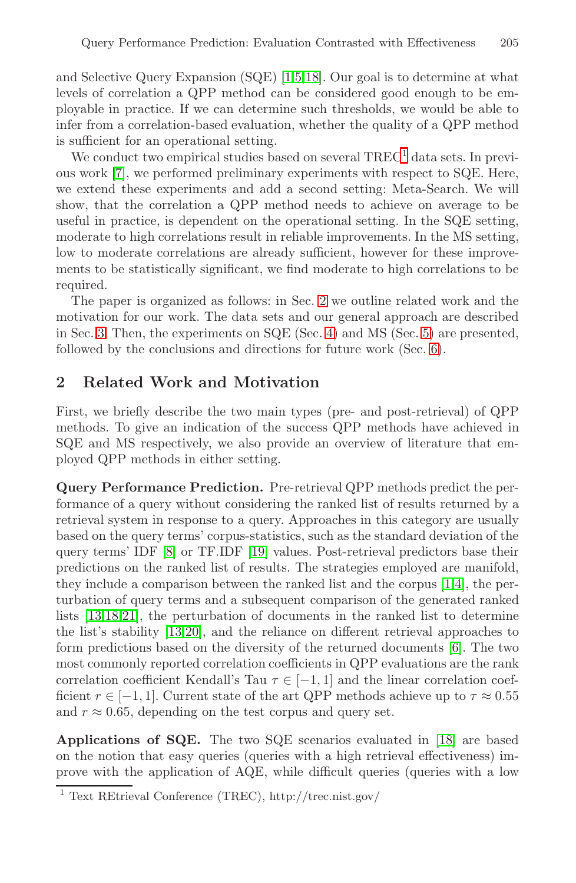and Selective Query Expansion (SQE) [1,5,18]. Our goal is to determine at what levels of correlation a QPP method can be considered good enough to be employable in practice. If we can determine such thresholds, we would be able to infer from a correlation-based evaluation, whether the quality of a QPP method is sufficient for an operational setting.

We conduct two empirical studies based on several  $TREC<sup>1</sup>$  data sets. In previous work [7], we performe[d p](#page-1-1)reliminary experiments with respect to SQE. Here, we extend these experiments and add a second setting: Meta-Search. We will show, that the correlation [a](#page-4-0) QPP method [n](#page-8-0)eeds to achieve on average to be useful in practice, is dependent on the opera[tio](#page-10-0)nal setting. In the SQE setting, moderate to high correlations result in reliable improvements. In the MS setting, low to moderate correlations are already sufficient, however for these improvements to be statistically significant, we find moderate to high correlations to be required.

<span id="page-1-1"></span>The paper is organized as follows: in Sec. 2 we outline related work and the motivation for our work. The data sets and our general approach are described in Sec. 3. Then, the experiments on SQE (Sec. 4) and MS (Sec. 5) are presented, followed by the conclusions and directions for future work (Sec. 6).

# **2 Related Work and Motivation**

First, we briefly describe the two main types (pre- and post-retrieval) of QPP [m](#page-11-3)ethods. To [give](#page-12-3) an indication of the success QPP methods have achieved in SQE and MS respectively, we also provide an overview of literature that employed QPP methods in either setting.

**Query Performance Prediction.** Pre-retrieval QPP methods predict the per[for](#page-12-0)[ma](#page-12-4)nce of a query without considering the ranked list of results returned by a retrieval system in response to a query. Approac[he](#page-11-2)s in this category are usually based on the query terms' corpus-statistics, such as the standard deviation of the query terms' IDF [8] or TF.IDF [19] values. Post-retrieval predictors base their predictions on the ranked list of results. The strategies employed are manifold, they include a comparison between the ranked list and the corpus [1,4], the perturbation of query terms and a subsequent comparison of the generated ranked lists [13,18,21], the perturbation of document[s in](#page-12-2) the ranked list to determine the list's stability [13,20], and the reliance on different retrieval approaches to form predictions based on the diversity of the returned documents [6]. The two most commonly reported correlation coefficients in QPP evaluations are the rank correlation coefficient Kendall's Tau  $\tau \in [-1, 1]$  and the linear correlation coefficient  $r \in [-1, 1]$ . Current state of the art QPP methods achieve up to  $\tau \approx 0.55$ and  $r \approx 0.65$ , depending on the test corpus and query set.

<span id="page-1-0"></span>**Applications of SQE.** The two SQE scenarios evaluated in [18] are based on the notion that easy queries (queries with a high retrieval effectiveness) improve with the application of AQE, while difficult queries (queries with a low

<sup>1</sup> Text REtrieval Conference (TREC), http://trec.nist.gov/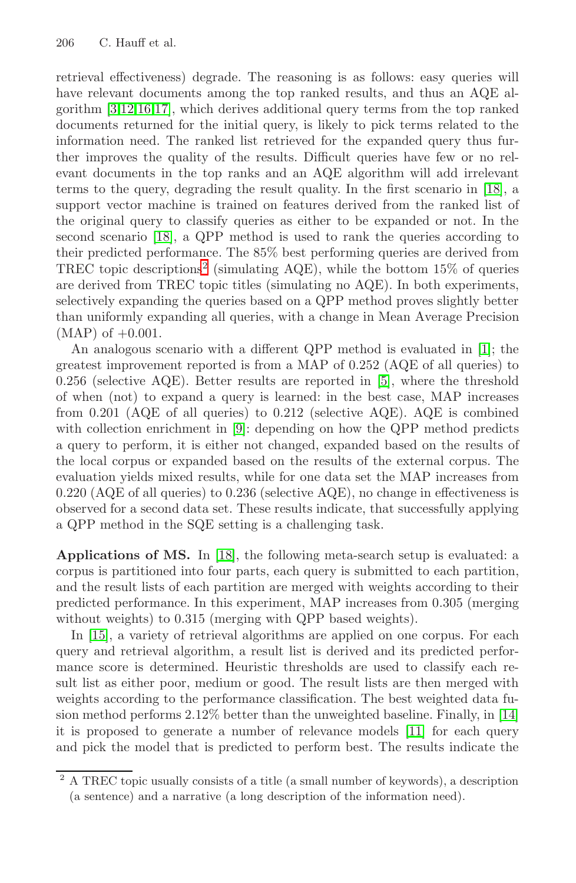retrieval effectiveness) degrade. The reasoning is as [follo](#page-12-2)ws: easy queries will have relevant documents among the top ranked results, and thus an AQE al[g](#page-12-2)orithm [3,12,16,17], which derives additional query terms from the top ranked documents returned for the initial query, is likely to pick terms related to the infor[ma](#page-2-0)tion need. The ranked list retrieved for the expanded query thus further improves the quality of the results. Difficult queries have few or no relevant documents in the top ranks and an AQE algorithm will add irrelevant terms to the query, degrading the result quality. In the first scenario in [18], a support vector machine is trained on features derived from the ranked list of the original query to classify queries as either to be [e](#page-11-0)xpanded or not. In the second scenario [18], a QPP method is used to rank the queries according to their predicted performance. The 85[%](#page-11-4) best performing queries are derived from TREC topic descriptions<sup>2</sup> (simulating AQE), while the bottom  $15\%$  of queries are derived from TREC topic titles (simulating no AQE). In both experiments, selectively [exp](#page-11-5)anding the queries based on a QPP method proves slightly better than uniformly expanding all queries, with a change in Mean Average Precision  $(MAP)$  of  $+0.001$ .

An analogous scenario with a different QPP method is evaluated in [1]; the greatest improvement reported is from a MAP of 0.252 (AQE of all queries) to 0.256 (selective AQE). Better results are reported in [5], where the threshold of when (not) to expand a query is learned: in the best case, MAP increases from 0.201 (AQE of all queries) to 0.212 (selective AQE). AQE is combined with col[lect](#page-12-2)ion enrichment in [9]: depending on how the QPP method predicts a query to perform, it is either not changed, expanded based on the results of the local corpus or expanded based on the results of the external corpus. The evaluation yields mixed results, while for one data set the MAP increases from 0.220 (AQE of all queries) to 0.236 (selective AQE), no change in effectiveness is observed for a second data set. These results indicate, that successfully applying a QPP method in the SQE setting is a challenging task.

**Applications of MS.** In [18], the following meta-search setup is evaluated: a corpus is partitioned into four parts, each query is submitted to each partition, and the result lists of each partition are merged with wei[ghts](#page-12-7) according to their predicted performance. In this experime[nt, M](#page-11-6)AP increases from 0.305 (merging without weights) to 0.315 (merging with QPP based weights).

<span id="page-2-0"></span>In [15], a variety of retrieval algorithms are applied on one corpus. For each query and retrieval algorithm, a result list is derived and its predicted performance score is determined. Heuristic thresholds are used to classify each result list as either poor, medium or good. The result lists are then merged with weights according to the performance classification. The best weighted data fusion method performs 2.12% better than the unweighted baseline. Finally, in [14] it is proposed to generate a number of relevance models [11] for each query and pick the model that is predicted to perform best. The results indicate the

<sup>2</sup> A TREC topic usually consists of a title (a small number of keywords), a description (a sentence) and a narrative (a long description of the information need).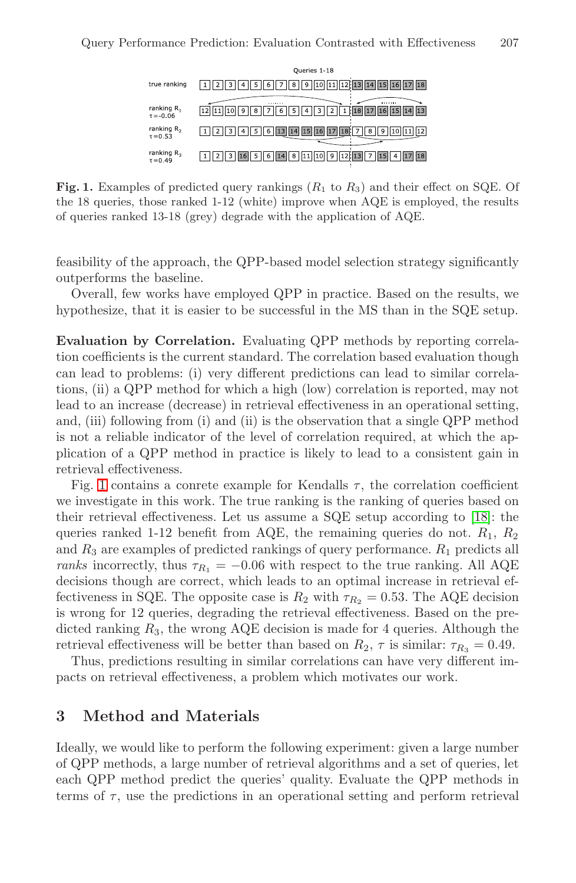<span id="page-3-0"></span>

|                                         | Queries 1-18                                                |
|-----------------------------------------|-------------------------------------------------------------|
| true ranking                            | 10  11  12  13  14  15  16  17  18<br>6<br>9                |
|                                         |                                                             |
| ranking $R_1$<br>$\tau = 0.06$          | 18 17<br> 13 <br>$16$   15<br>9<br>6                        |
| ranking $R_2$<br>$\tau = 0.53$          | 6<br>ll 3<br>14 15 16 17<br>l 5<br>18<br>1  2 <br> 13 <br>8 |
| ranking R <sub>3</sub><br>$\tau = 0.49$ | 18<br>$+5+$<br>6<br>3<br>9<br>16<br>8                       |
|                                         |                                                             |

**Fig. 1.** Examples of predicted query rankings (R<sup>1</sup> to R3) and their effect on SQE. Of the 18 queries, those ranked 1-12 (white) improve when AQE is employed, the results of queries ranked 13-18 (grey) degrade with the application of AQE.

feasibility of the approach, the QPP-based model selection strategy significantly outperforms the baseline.

Overall, few works have employed QPP in practice. Based on the results, we hypothesize, that it is easier to be successful in the MS than in the SQE setup.

**Evaluation by Correlation.** Evaluating QPP methods by reporting correlation coefficients is the current standard. The correlation based evaluation though can lead to problems: (i) very different predictions can lead to similar correlations, (ii) a QPP method for which a high (low) corr[elat](#page-12-2)ion is reported, may not lead to an increase (decrease) in retrieval effectiveness in an operational setting, and, (iii) following from (i) and (ii) is the observation that a single QPP method is not a reliable indicator of the level of correlation required, at which the application of a QPP method in practice is likely to lead to a consistent gain in retrieval effectiveness.

Fig. 1 contains a conrete example for Kendalls  $\tau$ , the correlation coefficient we investigate in this work. The true ranking is the ranking of queries based on their retrieval effectiveness. Let us assume a SQE setup according to [18]: the queries ranked 1-12 benefit from AQE, the remaining queries do not.  $R_1, R_2$ and  $R_3$  are examples of predicted rankings of query performance.  $R_1$  predicts all *ranks* incorrectly, thus  $\tau_{R_1} = -0.06$  with respect to the true ranking. All AQE decisions though are correct, which leads to an optimal increase in retrieval effectiveness in SQE. The opposite case is  $R_2$  with  $\tau_{R_2} = 0.53$ . The AQE decision is wrong for 12 queries, degrading the retrieval effectiveness. Based on the predicted ranking  $R_3$ , the wrong AQE decision is made for 4 queries. Although the retrieval effectiveness will be better than based on  $R_2$ ,  $\tau$  is similar:  $\tau_{R_3} = 0.49$ .

Thus, predictions resulting in similar correlations can have very different impacts on retrieval effectiveness, a problem which motivates our work.

## **3 Method and Materials**

Ideally, we would like to perform the following experiment: given a large number of QPP methods, a large number of retrieval algorithms and a set of queries, let each QPP method predict the queries' quality. Evaluate the QPP methods in terms of  $\tau$ , use the predictions in an operational setting and perform retrieval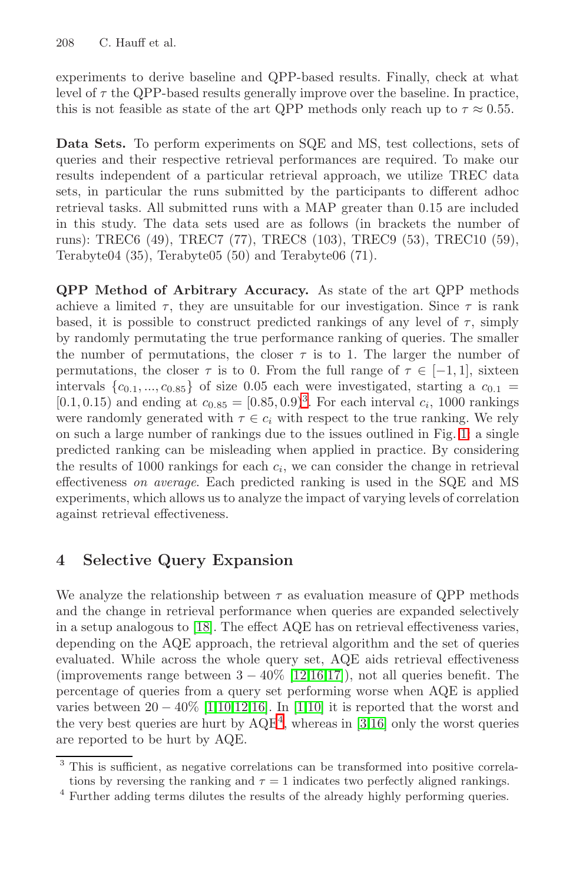experiments to derive baseline and QPP-based results. Finally, check at what level of  $\tau$  the QPP-based results generally improve over the baseline. In practice, this is not feasible as state of the art QPP methods only reach up to  $\tau \approx 0.55$ .

**Data Sets.** To perform experiments on SQE and MS, test collections, sets of queries and their respective retrieval performances are required. To make our results independent of a particular retrieval approach, we utilize TREC data sets, in particular the runs submitted by the participants to different adhoc retrieval tasks. All submitted runs with a MAP greater than 0.15 are included in this study. The data sets used are as follows (in brackets the number of runs): TREC6 (49), TREC7 (77), TREC8 (103), TREC9 (53), TREC10 (59), Terabyte04 (35), Terabyte05 (50) and Terabyte06 (71).

<span id="page-4-0"></span>**QPP Method of Ar[b](#page-4-1)itrary Accuracy.** As state of the art QPP methods achieve a limited  $\tau$ , they are unsuitable for our [inv](#page-3-0)estigation. Since  $\tau$  is rank based, it is possible to construct predicted rankings of any level of  $\tau$ , simply by randomly permutating the true performance ranking of queries. The smaller the number of permutations, the closer  $\tau$  is to 1. The larger the number of permutations, the closer  $\tau$  is to 0. From the full range of  $\tau \in [-1,1]$ , sixteen intervals  ${c_{0,1},...,c_{0,85}}$  of size 0.05 each were investigated, starting a  $c_{0,1}$  = [0.1, 0.15) and ending at  $c_{0.85} = [0.85, 0.9)^3$ . For each interval  $c_i$ , 1000 rankings were randomly generated with  $\tau \in c_i$  with respect to the true ranking. We rely on such a large number of rankings due to the issues outlined in Fig. 1: a single predicted ranking can be misleading when applied in practice. By considering the results of 1000 rankings for each  $c_i$ , we can consider the change in retrieval effectiveness *on average*. Each predicted ranking is used in the SQE and MS expe[rim](#page-12-2)ents, which allows us to analyze the impact of varying levels of correlation against retrieval effectiveness.

## **4 Selective Qu[er](#page-11-7)[y](#page-12-8) [Ex](#page-12-9)pansion**

<span id="page-4-1"></span>We an[al](#page-11-0)[yze](#page-11-8) [th](#page-11-7)[e](#page-12-8) [re](#page-12-8)l[at](#page-4-2)i[on](#page-11-0)[ship](#page-11-8) bet[we](#page-11-9)[en](#page-12-8)  $\tau$  as evaluation measure of QPP methods and the change in retrieval performance when queries are expanded selectively in a setup analogous to [18]. The effect AQE has on retrieval effectiveness varies, depending on the AQE approach, the retrieval algorithm and the set of queries evaluated. While across the whole query set, AQE aids retrieval effectiveness (improvements range between  $3 - 40\%$  [12,16,17]), not all queries benefit. The percentage of queries from a query set performing worse when AQE is applied varies between  $20 - 40\%$  [1,10,12,16]. In [1,10] it is reported that the worst and the very best queries are hurt by  $AQE<sup>4</sup>$ , whereas in [3,16] only the worst queries are reported to be hurt by AQE.

<span id="page-4-2"></span><sup>3</sup> This is sufficient, as negative correlations can be transformed into positive correla-

tions by reversing the ranking and  $\tau = 1$  indicates two perfectly aligned rankings.

<sup>4</sup> Further adding terms dilutes the results of the already highly performing queries.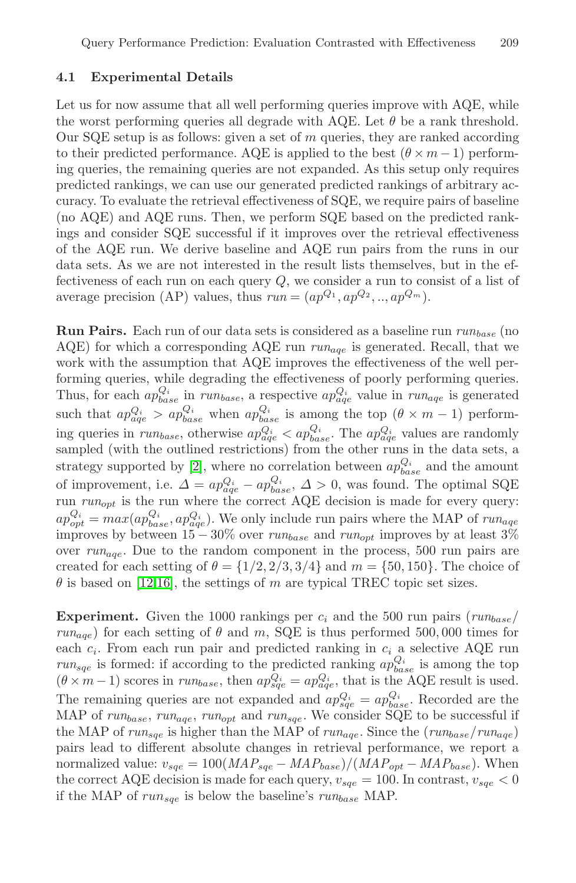## **4.1 Experimental Details**

Let us for now assume that all well performing queries improve with AQE, while the worst performing queries all degrade with AQE. Let  $\theta$  be a rank threshold. Our SQE setup is as follows: given a set of  $m$  queries, they are ranked according to their predicted performance. AQE is applied to the best  $(\theta \times m - 1)$  performing queries, the remaining queries are not expanded. As this setup only requires predicted rankings, we can use our generated predicted rankings of arbitrary accuracy. To evaluate the retrieval effectiveness of SQE, we require pairs of baseline (no AQE) and AQE runs. Then, we perform SQE based on the predicted rankings and consider SQE successful if it improves over the retrieval effectiveness of the AQE run. We derive baseline and AQE run pairs from the runs in our data sets. As we are not interested in the result lists themselves, but in the effectiveness of each run on each query Q, we consider a run to consist of a list of average precision (AP) values, thus  $run = (ap^{Q_1}, ap^{Q_2}, \dots, ap^{Q_m})$ .

**Run Pairs.** Each run of our data sets is considered as a baseline run *runbase* (no AQ[E\)](#page-11-10) for which a corresponding AQE run  $run_{aqe}$  is generated. Recall, that we work with the assumption that AQE improves the effectiveness of the well performing queries, while degrading the effectiveness of poorly performing queries. Thus, for each  $ap_{base}^{Q_i}$  in  $run_{base}$ , a respective  $ap_{age}^{Q_i}$  value in  $run_{age}$  is generated such that  $ap_{age}^{Q_i} > ap_{base}^{Q_i}$  when  $ap_{base}^{Q_i}$  is among the top  $(\theta \times m - 1)$  performing queries in  $run_{base}$ , otherwise  $ap_{age}^{Q_i} < ap_{age}^{Q_i}$ . The  $ap_{age}^{Q_i}$  values are randomly exampled (with the outlined restrictions) from the other runs in the data sets and sampled (with the outlined restrictions) from the other runs in the data sets, a [s](#page-12-8)trategy supported by [2], where no correlation between  $ap_{base}^{Q_i}$  and the amount of improvement, i.e.  $\Delta = ap_{age}^{Q_i} - ap_{base}^{Q_i}$ ,  $\Delta > 0$ , was found. The optimal SQE run  $run_{opt}$  is the run where the correct AQE decision is made for every query:<br> $\frac{Q_i}{r} = \frac{max(\alpha n_i^{Q_i} - \alpha n_i^{Q_i})}{r}$ . We only include my pairs where the MAR of my  $ap_{opt}^{Q_i} = max(ap_{base}^{Q_i}, ap_{ade}^{Q_i})$ . We only include run pairs where the MAP of *runage*<br>improves by het ween  $15 - 30\%$  over *run*, and *run*, improves by at least 3% improves by between  $15 - 30\%$  over  $run_{base}$  and  $run_{opt}$  improves by at least  $3\%$ over  $run_{age}$ . Due to the random component in the process, 500 run pairs are created for each setting of  $\theta = \{1/2, 2/3, 3/4\}$  and  $m = \{50, 150\}$ . The choice of  $\theta$  is based on [12,16], the settings of m are typical TREC topic set sizes.

**Experiment.** Given the 1000 rankings per  $c_i$  and the 500 run pairs (*run*<sub>hase</sub>) *run<sub>age</sub>*) for each setting of  $\theta$  and m, SQE is thus performed 500,000 times for each  $c_i$ . From each run pair and predicted ranking in  $c_i$  a selective AQE run *run<sub>sqe</sub>* is formed: if according to the predicted ranking  $ap_{base}^{Q_i}$  is among the top  $(A \times m - 1)$  scores in *run*, then  $ap_{i}^{Q_i} = ap_{i}^{Q_i}$  that is the AOE result is used  $(\theta \times m - 1)$  scores in *run<sub>base</sub>*, then  $ap_{age}^{Q_i} = ap_{age}^{Q_i}$ , that is the AQE result is used. The remaining queries are not expanded and  $ap_{sqe}^{Q_i} = ap_{base}^{Q_i}$ . Recorded are the MAP of  $run_{base}$ ,  $run_{age}$ ,  $run_{opt}$  and  $run_{step}$ . We consider SQE to be successful if the MAP of  $run_{\text{safe}}$  is higher than the MAP of  $run_{\text{age}}$ . Since the  $(run_{\text{base}}/run_{\text{age}})$ pairs lead to different absolute changes in retrieval performance, we report a normalized value:  $v_{\text{sqe}} = 100(MAP_{\text{sqe}} - MAP_{\text{base}})/(MAP_{\text{opt}} - MAP_{\text{base}})$ . When the correct AQE decision is made for each query,  $v_{\text{sqe}} = 100$ . In contrast,  $v_{\text{sqe}} < 0$ if the MAP of  $run_{\text{safe}}$  is below the baseline's  $run_{\text{base}}$  MAP.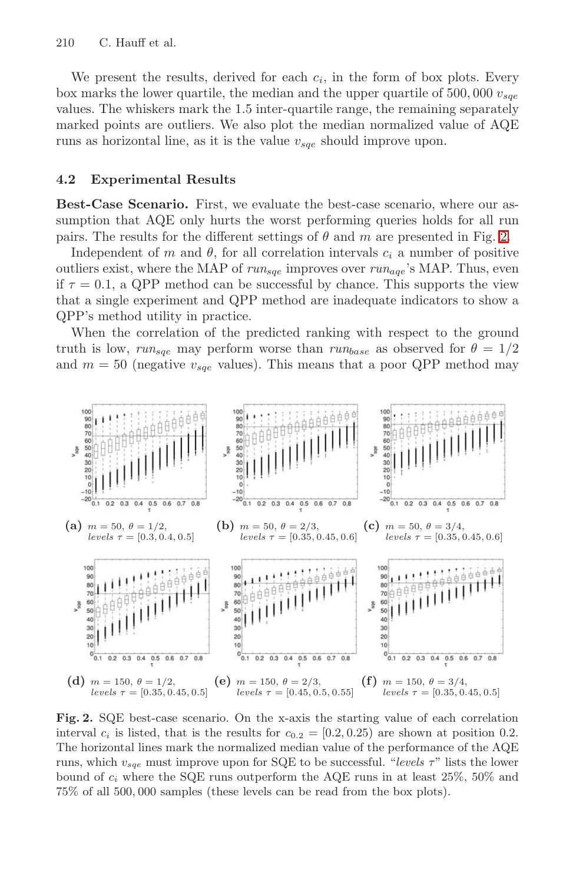We present the results, derived for each  $c_i$ , in the form of box plots. Every box marks the lower quartile, the median and the upper quartile of 500,000  $v_{\text{see}}$ values. The whiskers mark the 1.5 inter-quartile range, th[e r](#page-6-0)emaining separately marked points are outliers. We also plot the median normalized value of AQE runs as horizontal line, as it is the value  $v_{sqe}$  should improve upon.

#### **4.2 Experimental Results**

**Best-Case Scenario.** First, we evaluate the best-case scenario, where our assumption that AQE only hurts the worst performing queries holds for all run pairs. The results for the different settings of  $\theta$  and m are presented in Fig. 2.

<span id="page-6-0"></span>Independent of m and  $\theta$ , for all correlation intervals  $c_i$  a number of positive outliers exist, where the MAP of  $run_{sqe}$  improves over  $run_{aqe}$ 's MAP. Thus, even if  $\tau = 0.1$ , a QPP method can be successful by chance. This supports the view that a single experiment and QPP method are inadequate indicators to show a QPP's method utility in practice.

When the correlation of the predicted ranking with respect to the ground truth is low,  $run_{\text{safe}}$  may perform worse than  $run_{\text{base}}$  as observed for  $\theta = 1/2$ and  $m = 50$  (negative  $v_{\text{sqe}}$  values). This means that a poor QPP method may



**Fig. 2.** SQE best-case scenario. On the x-axis the starting value of each correlation interval  $c_i$  is listed, that is the results for  $c_{0.2} = [0.2, 0.25]$  are shown at position 0.2. The horizontal lines mark the normalized median value of the performance of the AQE runs, which v*sqe* must improve upon for SQE to be successful. "*levels* τ" lists the lower bound of c*<sup>i</sup>* where the SQE runs outperform the AQE runs in at least 25%, 50% and 75% of all 500, 000 samples (these levels can be read from the box plots).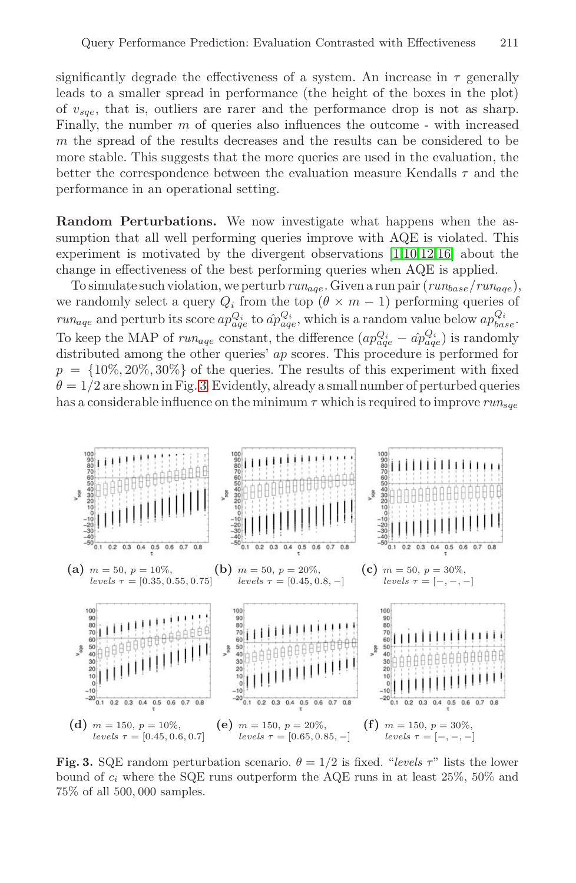significantly degrade the effectiveness of a system. An increase in  $\tau$  generally leads to a smaller spread in performance (the height of the boxes in the plot) of  $v_{\text{see}}$ , that is, outliers are rarer and the performance drop is not as sharp. Finally, the number  $m$  of queries also [i](#page-11-0)[nflu](#page-11-8)[en](#page-11-7)[ces](#page-12-8) the outcome - with increased m the spread of the results decreases and the results can be considered to be more stable. This suggests that the more queries are used in the evaluation, the better the correspondence between the evaluation measure Kendalls  $\tau$  and the performance in an operational setting.

**Random Perturbations.** We now investigate what happens when the assumption that all well performing queries improve with AQE is violated. This experiment is motivated by the divergent observations [1,10,12,16] about the chan[ge](#page-7-0) in effectiveness of the best performing queries when AQE is applied.

<span id="page-7-0"></span>To simulate such violation, we perturb  $run_{aqe}$ . Given a run pair  $(run_{base}/run_{aqe})$ , we randomly select a query  $Q_i$  from the top  $(\theta \times m - 1)$  performing queries of  $run_{aqe}$  and perturb its score  $ap_{aqe}^{Q_i}$  to  $\hat{ap}_{aqe}^{Q_i}$ , which is a random value below  $ap_{base}^{Q_i}$ .<br>The laser the MAD of www.grapetert. the difference  $(nQ_i^i - \hat{n}Q_i^i)$  is generated. To keep the MAP of  $run_{aqe}$  constant, the difference  $(ap_{qe}^{Q_i} - \hat{ap}_{aqe}^{Q_i})$  is randomly distributed among the other queries' an scores. This procedure is performed for distributed among the other queries' ap scores. This procedure is performed for  $p = \{10\%, 20\%, 30\%\}\$  of the queries. The results of this experiment with fixed  $\theta = 1/2$  are shown in Fig. 3. Evidently, already a small number of perturbed queries has a considerable influence on the minimum  $\tau$  which is required to improve  $run_{\text{safe}}$ 



**Fig. 3.** SQE random perturbation scenario.  $\theta = 1/2$  is fixed. "*levels*  $\tau$ " lists the lower bound of c*<sup>i</sup>* where the SQE runs outperform the AQE runs in at least 25%, 50% and 75% of all 500, 000 samples.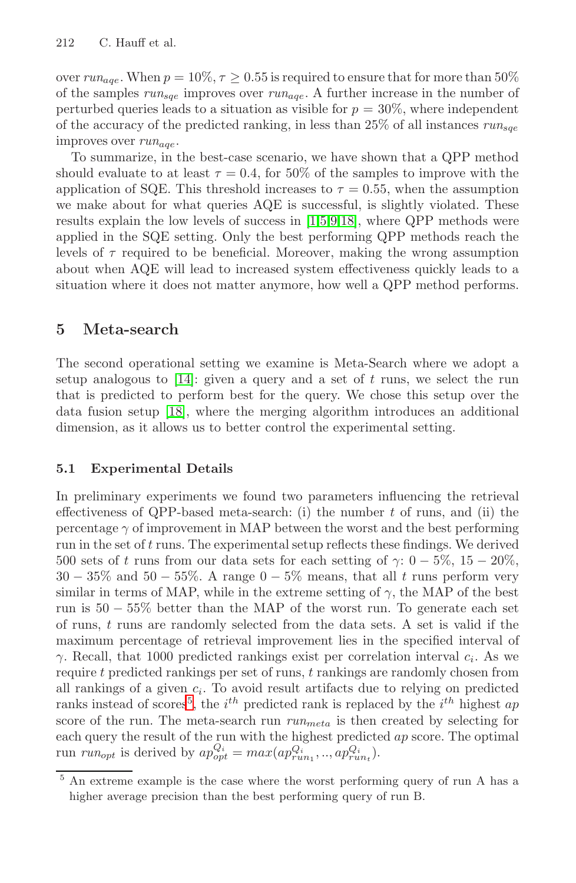over  $run_{age}$ . When  $p = 10\%, \tau \geq 0.55$  is required to ensure that for more than 50% of the sa[mp](#page-11-0)les  $run_{\text{safe}}$  imp[ro](#page-11-4)[ve](#page-11-5)[s o](#page-12-2)ver  $run_{\text{age}}$ . A further increase in the number of perturbed queries leads to a situation as visible for  $p = 30\%$ , where independent of the accuracy of the predicted ranking, in less than  $25\%$  of all instances  $run_{\text{safe}}$ improves over  $run_{age}$ .

<span id="page-8-0"></span>To summarize, in the best-case scenario, we have shown that a QPP method should evaluate to at least  $\tau = 0.4$ , for 50% of the samples to improve with the application of SQE. This threshold increases to  $\tau = 0.55$ , when the assumption we make about for what queries AQE is successful, is slightly violated. These results explain the low levels of success in [1,5,9,18], where QPP methods were applied in the SQE setting. Only the best performing QPP methods reach the le[vels](#page-12-7) of  $\tau$  required to be beneficial. Moreover, making the wrong assumption about when AQE will lead to increased system effectiveness quickly leads to a [situ](#page-12-2)ation where it does not matter anymore, how well a QPP method performs.

# **5 Meta-search**

The second operational setting we examine is Meta-Search where we adopt a setup analogous to  $[14]$ : given a query and a set of t runs, we select the run that is predicted to perform best for the query. We chose this setup over the data fusion setup [18], where the merging algorithm introduces an additional dimension, as it allows us to better control the experimental setting.

## **5.1 Experimental Details**

In preliminary experiments we found two parameters influencing the retrieval effectiveness of QPP-based meta-search: (i) the number  $t$  of runs, and (ii) the percentage  $\gamma$  of improvement in MAP between the worst and the best performing run in the set of t runs. The experimental setup reflects these findings. We derived 500 sets of t runs from our data sets for each setting of  $\gamma$ : 0 − 5%, 15 − 20%,  $30 - 35\%$  and  $50 - 55\%$ . A range  $0 - 5\%$  means, that all t runs perform very similar in terms of MAP, while in the extreme setting of  $\gamma$ , the MAP of the best run is 50 − 55% better than the MAP of the worst run. To generate each set of runs, t runs are randomly selected from the data sets. A set is valid if the maximum percentage of retrieval improvement lies in the specified interval of γ. Recall, that 1000 predicted rankings exist per correlation interval  $c_i$ . As we require t predicted rankings per set of runs, t rankings are randomly chosen from all rankings of a given  $c_i$ . To avoid result artifacts due to relying on predicted ranks instead of scores<sup>5</sup>, the  $i^{th}$  predicted rank is replaced by the  $i^{th}$  highest ap score of the run. The meta-search run  $run_{meta}$  is then created by selecting for each query the result of the run with the highest predicted ap score. The optimal run *run<sub>opt</sub>* is derived by  $ap_{opt}^{Q_i} = max(ap_{run_1}^{Q_i}, ..., ap_{run_t}^{Q_i})$ .

<span id="page-8-1"></span> $5$  An extreme example is the case where the worst performing query of run A has a higher average precision than the best performing query of run B.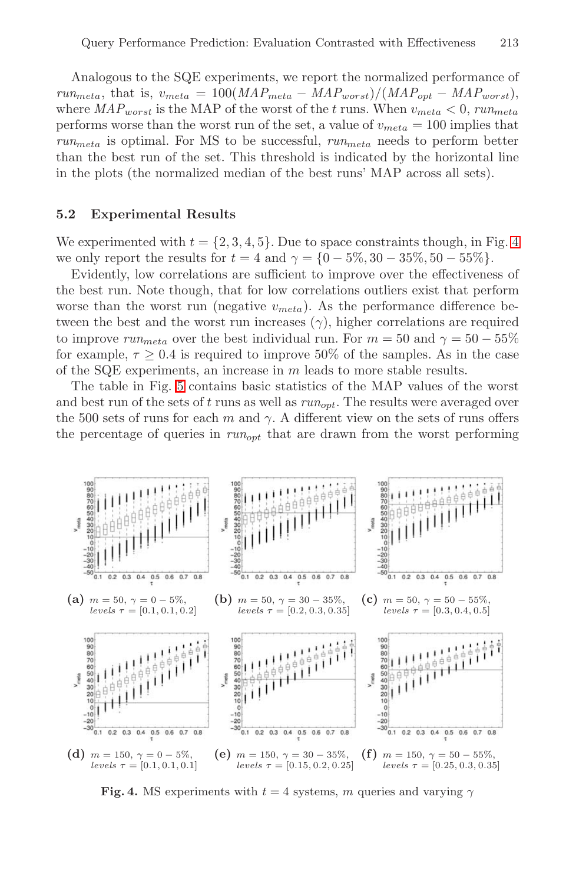Analogous to the SQE experiments, we report the normalized performance of  $run_{meta}$ , that is,  $v_{meta} = 100(MAP_{meta} - MAP_{worst})/(MAP_{opt} - MAP_{worst})$ , where  $MAP_{worst}$  is the MAP of the worst of the t ru[n](#page-9-0)s. When  $v_{meta} < 0$ ,  $run_{meta}$ performs worse than the worst run of the set, a value of  $v_{meta} = 100$  implies that *run*<sub>meta</sub> is optimal. For MS to be successful,  $run_{meta}$  needs to perform better than the best run of the set. This threshold is indicated by the horizontal line in the plots (the normalized median of the best runs' MAP across all sets).

## **5.2 Experimental Results**

We experimented with  $t = \{2, 3, 4, 5\}$ . Due to space constraints though, in Fig. 4 [we](#page-10-1) only report the results for  $t = 4$  and  $\gamma = \{0 - 5\%, 30 - 35\%, 50 - 55\% \}.$ 

Evidently, low correlations are sufficient to improve over the effectiveness of the best run. Note though, that for low correlations outliers exist that perform worse than the worst run (negative  $v_{meta}$ ). As the performance difference between the best and the worst run increases  $(\gamma)$ , higher correlations are required to improve  $run_{meta}$  over the best individual run. For  $m = 50$  and  $\gamma = 50 - 55\%$ for example,  $\tau \geq 0.4$  is required to improve 50% of the samples. As in the case of the SQE experiments, an increase in  $m$  leads to more stable results.

<span id="page-9-0"></span>The table in Fig. 5 contains basic statistics of the MAP values of the worst and best run of the sets of t runs as well as  $run_{opt}$ . The results were averaged over the 500 sets of runs for each m and  $\gamma$ . A different view on the sets of runs offers the percentage of queries in  $run_{opt}$  that are drawn from the worst performing



**Fig. 4.** MS experiments with  $t = 4$  systems, m queries and varying  $\gamma$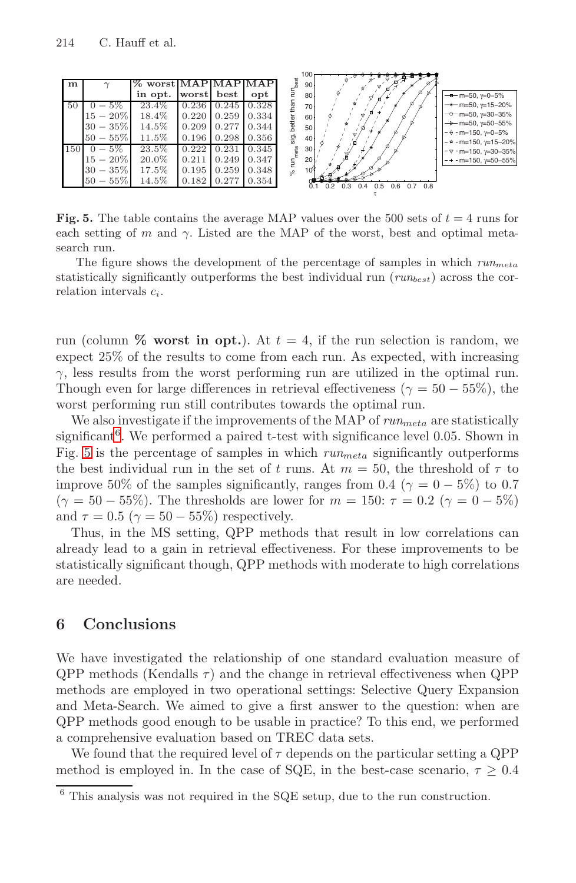<span id="page-10-1"></span>

**Fig. 5.** The table contains the average MAP values over the 500 sets of  $t = 4$  runs for each setting of m and  $\gamma$ . Listed are the MAP of the worst, best and optimal metasearch run.

The figure shows the development of the percentage of samples in which *runmeta* statistically significantly outperforms the best individual run (*runbest*) across the correlation intervals c*i*.

run (column  $\%$  worst in opt.). At  $t = 4$ , if the run selection is random, we expect 25% of the results to come from each run. As expected, with increasing  $\gamma$ , less results from the worst performing run are utilized in the optimal run. Though even for large differences in retrieval effectiveness ( $\gamma = 50 - 55\%$ ), the worst performing run still contributes towards the optimal run.

We also investigate if the improvements of the MAP of  $run_{meta}$  are statistically significant<sup>6</sup>. We performed a paired t-test with significance level 0.05. Shown in Fig. 5 is the percentage of samples in which  $run_{meta}$  significantly outperforms the best individual run in the set of t runs. At  $m = 50$ , the threshold of  $\tau$  to improve 50% of the samples significantly, ranges from 0.4 ( $\gamma = 0 - 5\%$ ) to 0.7  $(\gamma = 50 - 55\%)$ . The thresholds are lower for  $m = 150$ :  $\tau = 0.2$   $(\gamma = 0 - 5\%)$ and  $\tau = 0.5$  ( $\gamma = 50 - 55\%$ ) respectively.

<span id="page-10-0"></span>Thus, in the MS setting, QPP methods that result in low correlations can already lead to a gain in retrieval effectiveness. For these improvements to be statistically significant though, QPP methods with moderate to high correlations are needed.

# **6 Conclusions**

We have investigated the relationship of one standard evaluation measure of  $QPP$  methods (Kendalls  $\tau$ ) and the change in retrieval effectiveness when  $QPP$ methods are employed in two operational settings: Selective Query Expansion and Meta-Search. We aimed to give a first answer to the question: when are QPP methods good enough to be usable in practice? To this end, we performed a comprehensive evaluation based on TREC data sets.

We found that the required level of  $\tau$  depends on the particular setting a QPP method is employed in. In the case of SQE, in the best-case scenario,  $\tau \geq 0.4$ 

 $6$  This analysis was not required in the SQE setup, due to the run construction.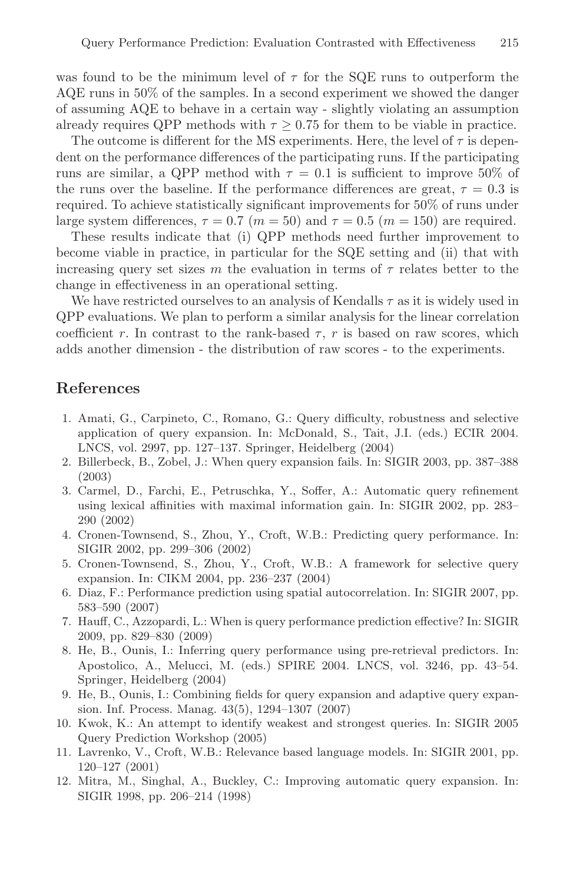was found to be the minimum level of  $\tau$  for the SQE runs to outperform the AQE runs in 50% of the samples. In a second experiment we showed the danger of assuming AQE to behave in a certain way - slightly violating an assumption already requires QPP methods with  $\tau \geq 0.75$  for them to be viable in practice.

The outcome is different for the MS experiments. Here, the level of  $\tau$  is dependent on the performance differences of the participating runs. If the participating runs are similar, a QPP method with  $\tau = 0.1$  is sufficient to improve 50% of the runs over the baseline. If the performance differences are great,  $\tau = 0.3$  is required. To achieve statistically significant improvements for 50% of runs under large system differences,  $\tau = 0.7$  ( $m = 50$ ) and  $\tau = 0.5$  ( $m = 150$ ) are required.

These results indicate that (i) QPP methods need further improvement to become viable in practice, in particular for the SQE setting and (ii) that with increasing query set sizes m the evaluation in terms of  $\tau$  relates better to the change in effectiveness in an operational setting.

We have restricted ourselves to an analysis of Kendalls  $\tau$  as it is widely used in QPP evaluations. We plan to perform a similar analysis for the linear correlation coefficient r. In contrast to the rank-based  $\tau$ , r is based on raw scores, which adds another dimension - the distribution of raw scores - to the experiments.

## <span id="page-11-0"></span>**References**

- 1. Amati, G., Carpineto, C., Romano, G.: Query difficulty, robustness and selective application of query expansion. In: McDonald, S., Tait, J.I. (eds.) ECIR 2004. LNCS, vol. 2997, pp. 127–137. Springer, Heidelberg (2004)
- <span id="page-11-10"></span>2. Billerbeck, B., Zobel, J.: When query expansion fails. In: SIGIR 2003, pp. 387–388 (2003)
- <span id="page-11-9"></span>3. Carmel, D., Farchi, E., Petruschka, Y., Soffer, A.: Automatic query refinement using lexical affinities with maximal information gain. In: SIGIR 2002, pp. 283– 290 (2002)
- <span id="page-11-1"></span>4. Cronen-Townsend, S., Zhou, Y., Croft, W.B.: Predicting query performance. In: SIGIR 2002, pp. 299–306 (2002)
- <span id="page-11-4"></span>5. Cronen-Townsend, S., Zhou, Y., Croft, W.B.: A framework for selective query expansion. In: CIKM 2004, pp. 236–237 (2004)
- <span id="page-11-2"></span>6. Diaz, F.: Performance prediction using spatial autocorrelation. In: SIGIR 2007, pp. 583–590 (2007)
- 7. Hauff, C., Azzopardi, L.: When is query performance prediction effective? In: SIGIR 2009, pp. 829–830 (2009)
- <span id="page-11-3"></span>8. He, B., Ounis, I.: Inferring query performance using pre-retrieval predictors. In: Apostolico, A., Melucci, M. (eds.) SPIRE 2004. LNCS, vol. 3246, pp. 43–54. Springer, Heidelberg (2004)
- <span id="page-11-5"></span>9. He, B., Ounis, I.: Combining fields for query expansion and adaptive query expansion. Inf. Process. Manag. 43(5), 1294–1307 (2007)
- <span id="page-11-8"></span>10. Kwok, K.: An attempt to identify weakest and strongest queries. In: SIGIR 2005 Query Prediction Workshop (2005)
- <span id="page-11-6"></span>11. Lavrenko, V., Croft, W.B.: Relevance based language models. In: SIGIR 2001, pp. 120–127 (2001)
- <span id="page-11-7"></span>12. Mitra, M., Singhal, A., Buckley, C.: Improving automatic query expansion. In: SIGIR 1998, pp. 206–214 (1998)